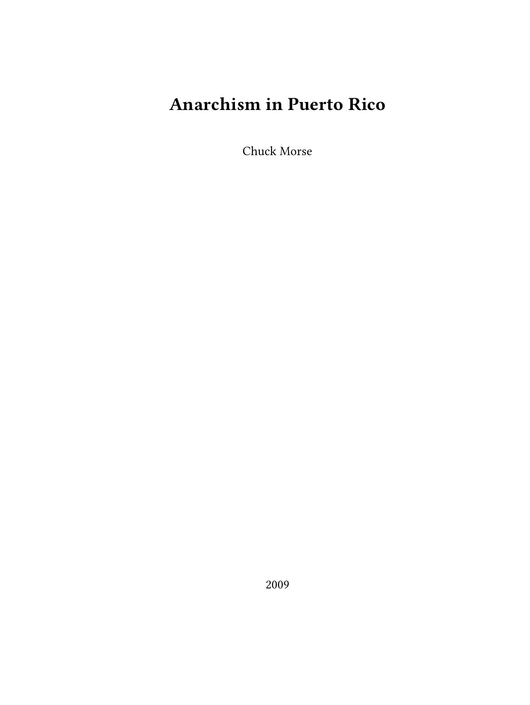## **Anarchism in Puerto Rico**

Chuck Morse

2009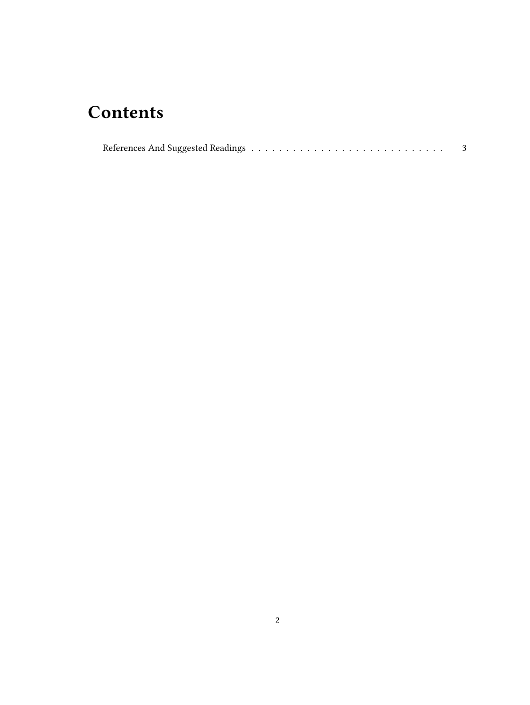## **Contents**

| $\mbox{References And Suggested Readings} \label{eq:1} \begin{minipage}[c]{0.9\linewidth} \normalsize \begin{minipage}[c]{0.9\linewidth} \normalsize \begin{minipage}[c]{0.9\linewidth} \normalsize \begin{minipage}[c]{0.9\linewidth} \normalsize \begin{minipage}[c]{0.9\linewidth} \normalsize \begin{minipage}[c]{0.9\linewidth} \normalsize \begin{minipage}[c]{0.9\linewidth} \normalsize \begin{minipage}[c]{0.9\linewidth} \normalsize \begin{minipage}[c]{0.9\linewidth} \normalsize \begin{minipage}[c]{0.9\linewidth} \normalsize \begin{minipage}[c]{0.9$ |  |  |  |  |  |  |  |  |  |  |  |  |  |  |  |  |  |  |  |  |  |  |  |  |  |  |  |  |
|-----------------------------------------------------------------------------------------------------------------------------------------------------------------------------------------------------------------------------------------------------------------------------------------------------------------------------------------------------------------------------------------------------------------------------------------------------------------------------------------------------------------------------------------------------------------------|--|--|--|--|--|--|--|--|--|--|--|--|--|--|--|--|--|--|--|--|--|--|--|--|--|--|--|--|
|-----------------------------------------------------------------------------------------------------------------------------------------------------------------------------------------------------------------------------------------------------------------------------------------------------------------------------------------------------------------------------------------------------------------------------------------------------------------------------------------------------------------------------------------------------------------------|--|--|--|--|--|--|--|--|--|--|--|--|--|--|--|--|--|--|--|--|--|--|--|--|--|--|--|--|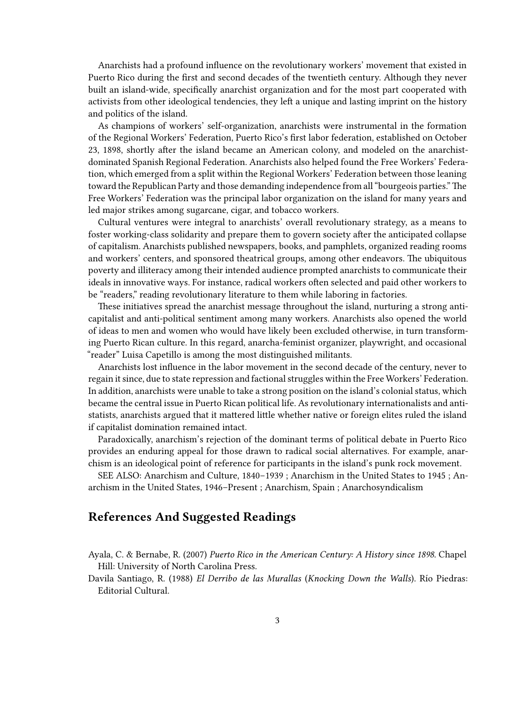Anarchists had a profound influence on the revolutionary workers' movement that existed in Puerto Rico during the first and second decades of the twentieth century. Although they never built an island-wide, specifically anarchist organization and for the most part cooperated with activists from other ideological tendencies, they left a unique and lasting imprint on the history and politics of the island.

As champions of workers' self-organization, anarchists were instrumental in the formation of the Regional Workers' Federation, Puerto Rico's first labor federation, established on October 23, 1898, shortly after the island became an American colony, and modeled on the anarchistdominated Spanish Regional Federation. Anarchists also helped found the Free Workers' Federation, which emerged from a split within the Regional Workers' Federation between those leaning toward the Republican Party and those demanding independence from all "bourgeois parties."The Free Workers' Federation was the principal labor organization on the island for many years and led major strikes among sugarcane, cigar, and tobacco workers.

Cultural ventures were integral to anarchists' overall revolutionary strategy, as a means to foster working-class solidarity and prepare them to govern society after the anticipated collapse of capitalism. Anarchists published newspapers, books, and pamphlets, organized reading rooms and workers' centers, and sponsored theatrical groups, among other endeavors. The ubiquitous poverty and illiteracy among their intended audience prompted anarchists to communicate their ideals in innovative ways. For instance, radical workers often selected and paid other workers to be "readers," reading revolutionary literature to them while laboring in factories.

These initiatives spread the anarchist message throughout the island, nurturing a strong anticapitalist and anti-political sentiment among many workers. Anarchists also opened the world of ideas to men and women who would have likely been excluded otherwise, in turn transforming Puerto Rican culture. In this regard, anarcha-feminist organizer, playwright, and occasional "reader" Luisa Capetillo is among the most distinguished militants.

Anarchists lost influence in the labor movement in the second decade of the century, never to regain it since, due to state repression and factional struggles within the Free Workers' Federation. In addition, anarchists were unable to take a strong position on the island's colonial status, which became the central issue in Puerto Rican political life. As revolutionary internationalists and antistatists, anarchists argued that it mattered little whether native or foreign elites ruled the island if capitalist domination remained intact.

Paradoxically, anarchism's rejection of the dominant terms of political debate in Puerto Rico provides an enduring appeal for those drawn to radical social alternatives. For example, anarchism is an ideological point of reference for participants in the island's punk rock movement.

SEE ALSO: Anarchism and Culture, 1840–1939 ; Anarchism in the United States to 1945 ; Anarchism in the United States, 1946–Present ; Anarchism, Spain ; Anarchosyndicalism

## <span id="page-2-0"></span>**References And Suggested Readings**

Ayala, C. & Bernabe, R. (2007) *Puerto Rico in the American Century: A History since 1898*. Chapel Hill: University of North Carolina Press.

Davila Santiago, R. (1988) *El Derribo de las Murallas* (*Knocking Down the Walls*). Río Piedras: Editorial Cultural.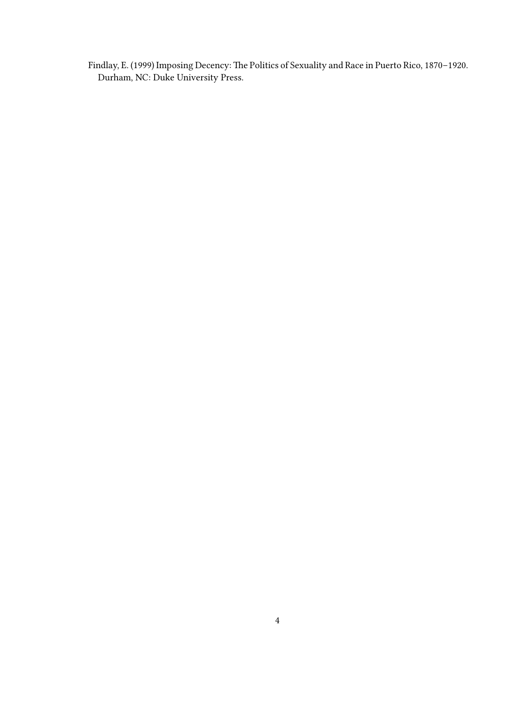Findlay, E. (1999) Imposing Decency: The Politics of Sexuality and Race in Puerto Rico, 1870–1920. Durham, NC: Duke University Press.